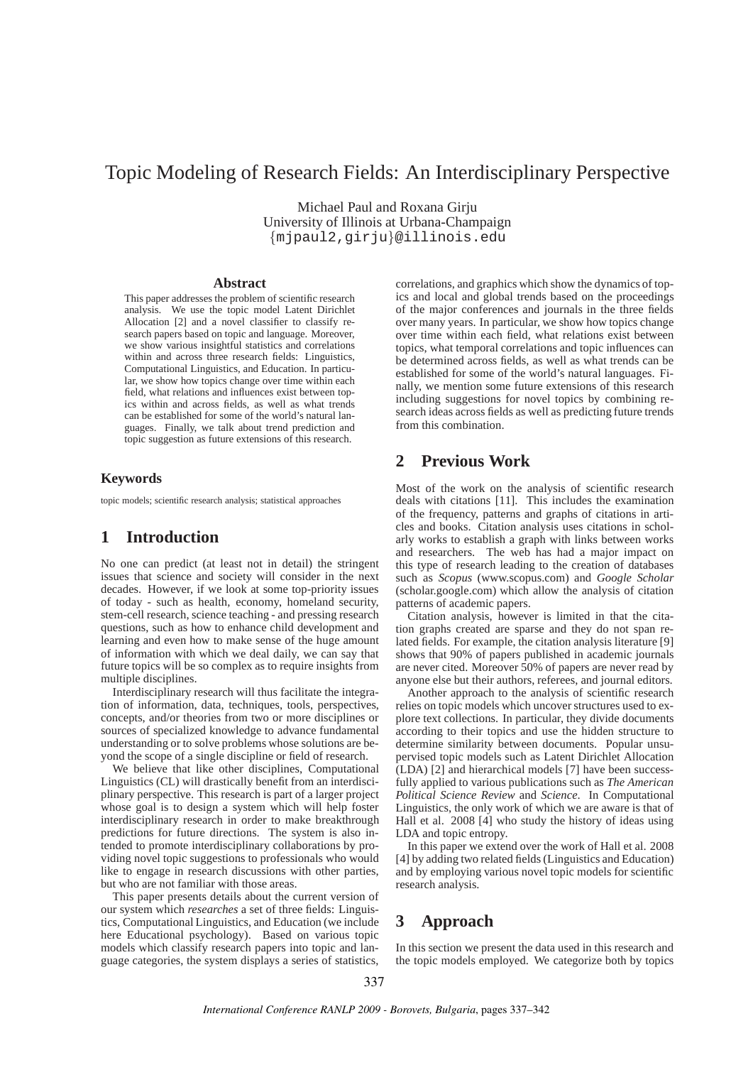# Topic Modeling of Research Fields: An Interdisciplinary Perspective

Michael Paul and Roxana Girju University of Illinois at Urbana-Champaign {mjpaul2,girju}@illinois.edu

#### **Abstract**

This paper addresses the problem of scientific research analysis. We use the topic model Latent Dirichlet Allocation [2] and a novel classifier to classify research papers based on topic and language. Moreover, we show various insightful statistics and correlations within and across three research fields: Linguistics, Computational Linguistics, and Education. In particular, we show how topics change over time within each field, what relations and influences exist between topics within and across fields, as well as what trends can be established for some of the world's natural languages. Finally, we talk about trend prediction and topic suggestion as future extensions of this research.

### **Keywords**

topic models; scientific research analysis; statistical approaches

# **1 Introduction**

No one can predict (at least not in detail) the stringent issues that science and society will consider in the next decades. However, if we look at some top-priority issues of today - such as health, economy, homeland security, stem-cell research, science teaching - and pressing research questions, such as how to enhance child development and learning and even how to make sense of the huge amount of information with which we deal daily, we can say that future topics will be so complex as to require insights from multiple disciplines.

Interdisciplinary research will thus facilitate the integration of information, data, techniques, tools, perspectives, concepts, and/or theories from two or more disciplines or sources of specialized knowledge to advance fundamental understanding or to solve problems whose solutions are beyond the scope of a single discipline or field of research.

We believe that like other disciplines, Computational Linguistics (CL) will drastically benefit from an interdisciplinary perspective. This research is part of a larger project whose goal is to design a system which will help foster interdisciplinary research in order to make breakthrough predictions for future directions. The system is also intended to promote interdisciplinary collaborations by providing novel topic suggestions to professionals who would like to engage in research discussions with other parties, but who are not familiar with those areas.

This paper presents details about the current version of our system which *researches* a set of three fields: Linguistics, Computational Linguistics, and Education (we include here Educational psychology). Based on various topic models which classify research papers into topic and language categories, the system displays a series of statistics,

correlations, and graphics which show the dynamics of topics and local and global trends based on the proceedings of the major conferences and journals in the three fields over many years. In particular, we show how topics change over time within each field, what relations exist between topics, what temporal correlations and topic influences can be determined across fields, as well as what trends can be established for some of the world's natural languages. Finally, we mention some future extensions of this research including suggestions for novel topics by combining research ideas across fields as well as predicting future trends from this combination.

# **2 Previous Work**

Most of the work on the analysis of scientific research deals with citations [11]. This includes the examination of the frequency, patterns and graphs of citations in articles and books. Citation analysis uses citations in scholarly works to establish a graph with links between works and researchers. The web has had a major impact on this type of research leading to the creation of databases such as *Scopus* (www.scopus.com) and *Google Scholar* (scholar.google.com) which allow the analysis of citation patterns of academic papers.

Citation analysis, however is limited in that the citation graphs created are sparse and they do not span related fields. For example, the citation analysis literature [9] shows that 90% of papers published in academic journals are never cited. Moreover 50% of papers are never read by anyone else but their authors, referees, and journal editors.

Another approach to the analysis of scientific research relies on topic models which uncover structures used to explore text collections. In particular, they divide documents according to their topics and use the hidden structure to determine similarity between documents. Popular unsupervised topic models such as Latent Dirichlet Allocation (LDA) [2] and hierarchical models [7] have been successfully applied to various publications such as *The American Political Science Review* and *Science*. In Computational Linguistics, the only work of which we are aware is that of Hall et al. 2008 [4] who study the history of ideas using LDA and topic entropy.

In this paper we extend over the work of Hall et al. 2008 [4] by adding two related fields (Linguistics and Education) and by employing various novel topic models for scientific research analysis.

# **3 Approach**

In this section we present the data used in this research and the topic models employed. We categorize both by topics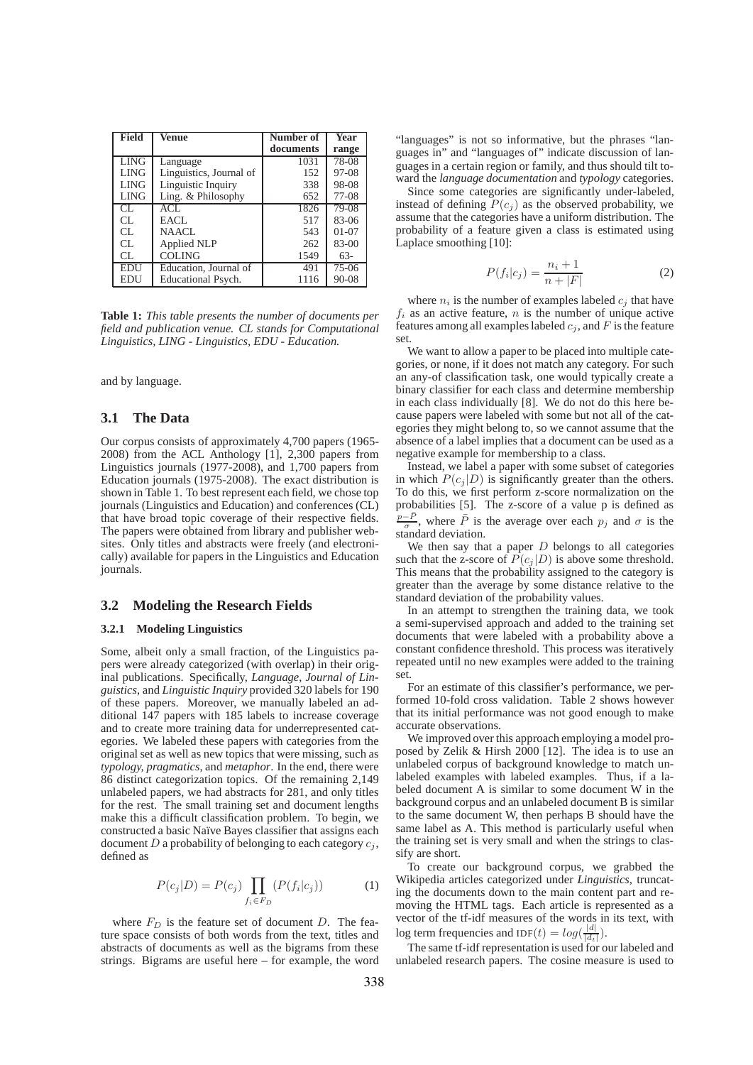| Field       | Venue                     | Number of | Year    |
|-------------|---------------------------|-----------|---------|
|             |                           | documents | range   |
| LING        | Language                  | 1031      | 78-08   |
| <b>LING</b> | Linguistics, Journal of   | 152       | $97-08$ |
| <b>LING</b> | Linguistic Inquiry        | 338       | 98-08   |
| LING        | Ling. & Philosophy        | 652       | 77-08   |
| CL.         | ACL                       | 1826      | 79-08   |
| CL.         | EACL                      | 517       | 83-06   |
| CL.         | NAACL.                    | 543       | $01-07$ |
| CL.         | Applied NLP               | 262       | $83-00$ |
| CL.         | <b>COLING</b>             | 1549      | $63-$   |
| EDU         | Education, Journal of     | 491       | $75-06$ |
| EDU         | <b>Educational Psych.</b> | 1116      | 90-08   |

**Table 1:** *This table presents the number of documents per field and publication venue. CL stands for Computational Linguistics, LING - Linguistics, EDU - Education.*

and by language.

#### **3.1 The Data**

Our corpus consists of approximately 4,700 papers (1965- 2008) from the ACL Anthology [1], 2,300 papers from Linguistics journals (1977-2008), and 1,700 papers from Education journals (1975-2008). The exact distribution is shown in Table 1. To best represent each field, we chose top journals (Linguistics and Education) and conferences (CL) that have broad topic coverage of their respective fields. The papers were obtained from library and publisher websites. Only titles and abstracts were freely (and electronically) available for papers in the Linguistics and Education journals.

### **3.2 Modeling the Research Fields**

#### **3.2.1 Modeling Linguistics**

Some, albeit only a small fraction, of the Linguistics papers were already categorized (with overlap) in their original publications. Specifically, *Language*, *Journal of Linguistics*, and *Linguistic Inquiry* provided 320 labels for 190 of these papers. Moreover, we manually labeled an additional 147 papers with 185 labels to increase coverage and to create more training data for underrepresented categories. We labeled these papers with categories from the original set as well as new topics that were missing, such as *typology, pragmatics*, and *metaphor*. In the end, there were 86 distinct categorization topics. Of the remaining 2,149 unlabeled papers, we had abstracts for 281, and only titles for the rest. The small training set and document lengths make this a difficult classification problem. To begin, we constructed a basic Naïve Bayes classifier that assigns each document  $D$  a probability of belonging to each category  $c_j$ , defined as

$$
P(c_j|D) = P(c_j) \prod_{f_i \in F_D} (P(f_i|c_j))
$$
 (1)

where  $F_D$  is the feature set of document D. The feature space consists of both words from the text, titles and abstracts of documents as well as the bigrams from these strings. Bigrams are useful here – for example, the word "languages" is not so informative, but the phrases "languages in" and "languages of" indicate discussion of languages in a certain region or family, and thus should tilt toward the *language documentation* and *typology* categories.

Since some categories are significantly under-labeled, instead of defining  $P(c_i)$  as the observed probability, we assume that the categories have a uniform distribution. The probability of a feature given a class is estimated using Laplace smoothing [10]:

$$
P(f_i|c_j) = \frac{n_i + 1}{n + |F|}
$$
 (2)

where  $n_i$  is the number of examples labeled  $c_j$  that have  $f_i$  as an active feature, n is the number of unique active features among all examples labeled  $c_j$ , and F is the feature set.

We want to allow a paper to be placed into multiple categories, or none, if it does not match any category. For such an any-of classification task, one would typically create a binary classifier for each class and determine membership in each class individually [8]. We do not do this here because papers were labeled with some but not all of the categories they might belong to, so we cannot assume that the absence of a label implies that a document can be used as a negative example for membership to a class.

Instead, we label a paper with some subset of categories in which  $P(c_i | D)$  is significantly greater than the others. To do this, we first perform z-score normalization on the probabilities [5]. The z-score of a value p is defined as  $\frac{p-\bar{P}}{\sigma}$ , where  $\bar{P}$  is the average over each  $p_j$  and  $\sigma$  is the standard deviation.

We then say that a paper  $D$  belongs to all categories such that the z-score of  $P(c_j | D)$  is above some threshold. This means that the probability assigned to the category is greater than the average by some distance relative to the standard deviation of the probability values.

In an attempt to strengthen the training data, we took a semi-supervised approach and added to the training set documents that were labeled with a probability above a constant confidence threshold. This process was iteratively repeated until no new examples were added to the training set.

For an estimate of this classifier's performance, we performed 10-fold cross validation. Table 2 shows however that its initial performance was not good enough to make accurate observations.

We improved over this approach employing a model proposed by Zelik & Hirsh 2000 [12]. The idea is to use an unlabeled corpus of background knowledge to match unlabeled examples with labeled examples. Thus, if a labeled document A is similar to some document W in the background corpus and an unlabeled document B is similar to the same document W, then perhaps B should have the same label as A. This method is particularly useful when the training set is very small and when the strings to classify are short.

To create our background corpus, we grabbed the Wikipedia articles categorized under *Linguistics*, truncating the documents down to the main content part and removing the HTML tags. Each article is represented as a vector of the tf-idf measures of the words in its text, with log term frequencies and  $IDF(t) = log(\frac{|d|}{|d_t|}).$ 

The same tf-idf representation is used for our labeled and unlabeled research papers. The cosine measure is used to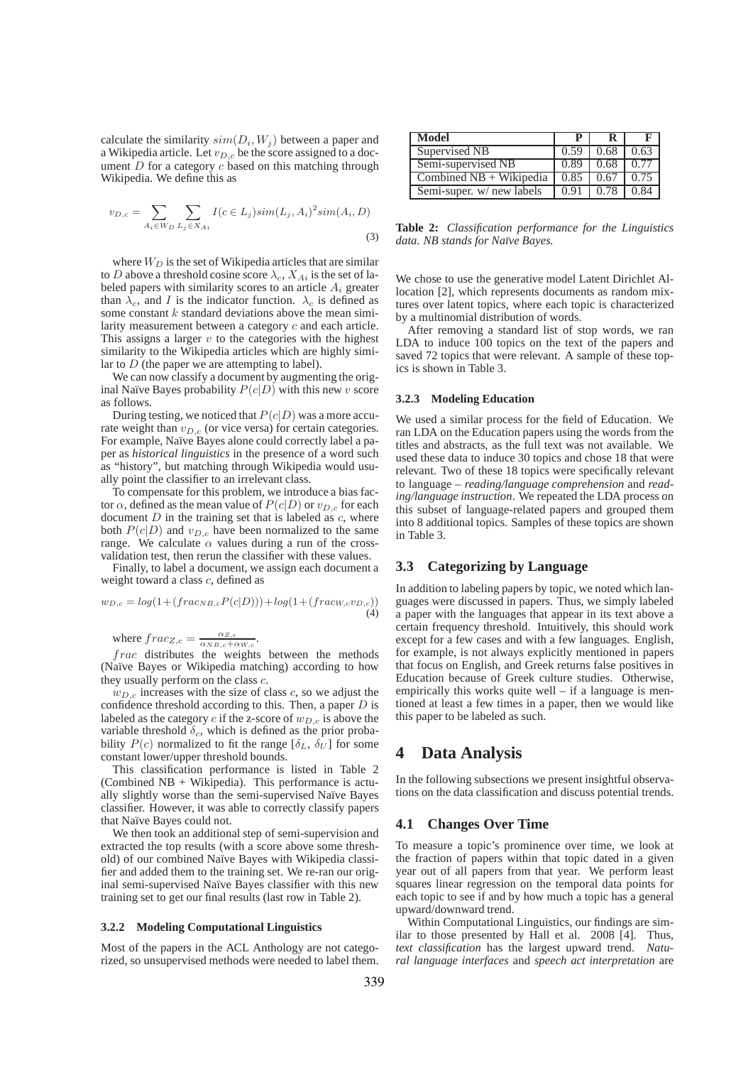calculate the similarity  $sim(D_i, W_j)$  between a paper and a Wikipedia article. Let  $v_{D,c}$  be the score assigned to a document  $D$  for a category  $c$  based on this matching through Wikipedia. We define this as

$$
v_{D,c} = \sum_{A_i \in W_D} \sum_{L_j \in X_{Ai}} I(c \in L_j) sim(L_j, A_i)^2 sim(A_i, D)
$$
\n(3)

where  $W_D$  is the set of Wikipedia articles that are similar to D above a threshold cosine score  $\lambda_c$ ,  $X_{Ai}$  is the set of labeled papers with similarity scores to an article  $A_i$  greater than  $\lambda_c$ , and I is the indicator function.  $\lambda_c$  is defined as some constant  $k$  standard deviations above the mean similarity measurement between a category c and each article. This assigns a larger  $v$  to the categories with the highest similarity to the Wikipedia articles which are highly similar to  $D$  (the paper we are attempting to label).

We can now classify a document by augmenting the original Naïve Bayes probability  $P(c|D)$  with this new v score as follows.

During testing, we noticed that  $P(c|D)$  was a more accurate weight than  $v_{D,c}$  (or vice versa) for certain categories. For example, Naïve Bayes alone could correctly label a paper as *historical linguistics* in the presence of a word such as "history", but matching through Wikipedia would usually point the classifier to an irrelevant class.

To compensate for this problem, we introduce a bias factor  $\alpha$ , defined as the mean value of  $P(c|D)$  or  $v_{D,c}$  for each document  $D$  in the training set that is labeled as  $c$ , where both  $P(c|D)$  and  $v_{D,c}$  have been normalized to the same range. We calculate  $\alpha$  values during a run of the crossvalidation test, then rerun the classifier with these values.

Finally, to label a document, we assign each document a weight toward a class c, defined as

$$
w_{D,c} = log(1 + (frac_{P_{C}}(P(c|D))) + log(1 + (frac_{c}w_{c}v_{D,c}))
$$
\n(4)

where  $frac_{Z,c} = \frac{\alpha_{Z,c}}{\alpha_{NB,c} + \alpha_{W,c}}$ .

frac distributes the weights between the methods (Naïve Bayes or Wikipedia matching) according to how they usually perform on the class  $c$ .

 $w_{D,c}$  increases with the size of class c, so we adjust the confidence threshold according to this. Then, a paper  $D$  is labeled as the category  $c$  if the z-score of  $w_{D,c}$  is above the variable threshold  $\delta_c$ , which is defined as the prior probability  $P(c)$  normalized to fit the range  $[\delta_L, \delta_U]$  for some constant lower/upper threshold bounds.

This classification performance is listed in Table 2 (Combined NB + Wikipedia). This performance is actually slightly worse than the semi-supervised Naïve Bayes classifier. However, it was able to correctly classify papers that Naïve Bayes could not.

We then took an additional step of semi-supervision and extracted the top results (with a score above some threshold) of our combined Na¨ıve Bayes with Wikipedia classifier and added them to the training set. We re-ran our original semi-supervised Naïve Bayes classifier with this new training set to get our final results (last row in Table 2).

#### **3.2.2 Modeling Computational Linguistics**

Most of the papers in the ACL Anthology are not categorized, so unsupervised methods were needed to label them.

| Model                     |      |      |      |
|---------------------------|------|------|------|
| Supervised NB             | 0.59 | 0.68 | 0.63 |
| Semi-supervised NB        | 0.89 | 0.68 | 0.77 |
| Combined $NB + Wikipedia$ | 0.85 | 0.67 | 0.75 |
| Semi-super. w/ new labels | 0.91 | 0.78 | 0.84 |

**Table 2:** *Classification performance for the Linguistics data. NB stands for Na¨ıve Bayes.*

We chose to use the generative model Latent Dirichlet Allocation [2], which represents documents as random mixtures over latent topics, where each topic is characterized by a multinomial distribution of words.

After removing a standard list of stop words, we ran LDA to induce 100 topics on the text of the papers and saved 72 topics that were relevant. A sample of these topics is shown in Table 3.

#### **3.2.3 Modeling Education**

We used a similar process for the field of Education. We ran LDA on the Education papers using the words from the titles and abstracts, as the full text was not available. We used these data to induce 30 topics and chose 18 that were relevant. Two of these 18 topics were specifically relevant to language – *reading/language comprehension* and *reading/language instruction*. We repeated the LDA process on this subset of language-related papers and grouped them into 8 additional topics. Samples of these topics are shown in Table 3.

#### **3.3 Categorizing by Language**

In addition to labeling papers by topic, we noted which languages were discussed in papers. Thus, we simply labeled a paper with the languages that appear in its text above a certain frequency threshold. Intuitively, this should work except for a few cases and with a few languages. English, for example, is not always explicitly mentioned in papers that focus on English, and Greek returns false positives in Education because of Greek culture studies. Otherwise, empirically this works quite well – if a language is mentioned at least a few times in a paper, then we would like this paper to be labeled as such.

# **4 Data Analysis**

In the following subsections we present insightful observations on the data classification and discuss potential trends.

### **4.1 Changes Over Time**

To measure a topic's prominence over time, we look at the fraction of papers within that topic dated in a given year out of all papers from that year. We perform least squares linear regression on the temporal data points for each topic to see if and by how much a topic has a general upward/downward trend.

Within Computational Linguistics, our findings are similar to those presented by Hall et al. 2008 [4]. Thus, *text classification* has the largest upward trend. *Natural language interfaces* and *speech act interpretation* are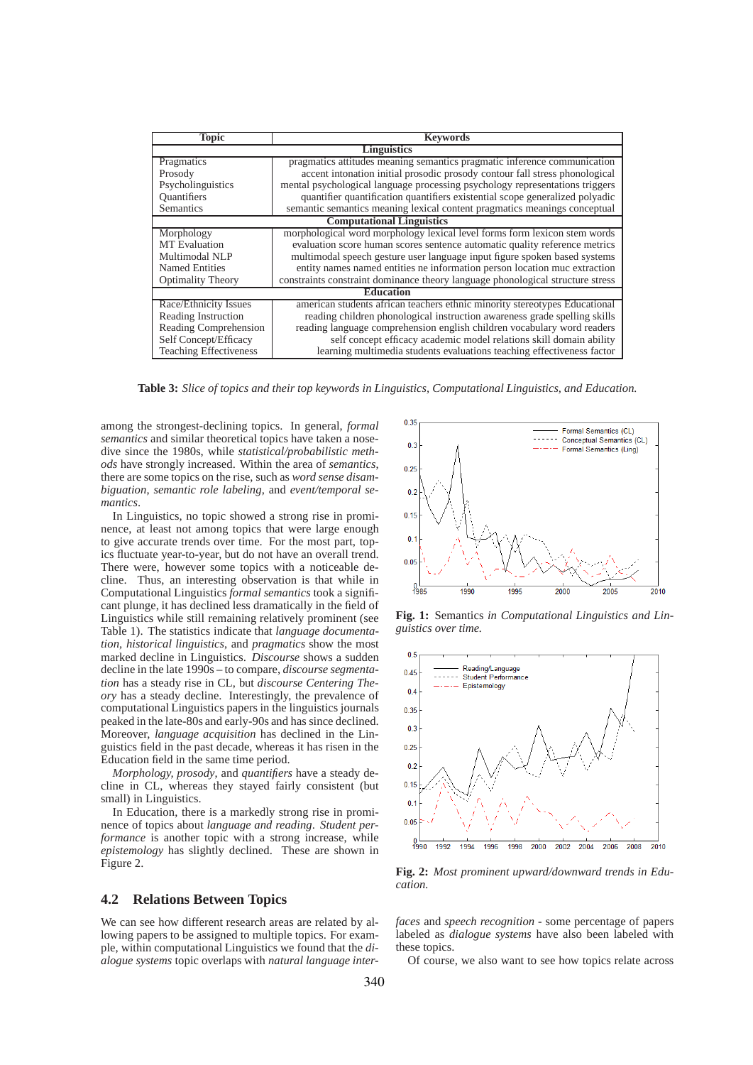| <b>Topic</b>                     | <b>Keywords</b>                                                                |  |  |  |
|----------------------------------|--------------------------------------------------------------------------------|--|--|--|
| Linguistics                      |                                                                                |  |  |  |
| Pragmatics                       | pragmatics attitudes meaning semantics pragmatic inference communication       |  |  |  |
| Prosody                          | accent intonation initial prosodic prosody contour fall stress phonological    |  |  |  |
| Psycholinguistics                | mental psychological language processing psychology representations triggers   |  |  |  |
| Quantifiers                      | quantifier quantification quantifiers existential scope generalized polyadic   |  |  |  |
| Semantics                        | semantic semantics meaning lexical content pragmatics meanings conceptual      |  |  |  |
| <b>Computational Linguistics</b> |                                                                                |  |  |  |
| Morphology                       | morphological word morphology lexical level forms form lexicon stem words      |  |  |  |
| <b>MT</b> Evaluation             | evaluation score human scores sentence automatic quality reference metrics     |  |  |  |
| Multimodal NLP                   | multimodal speech gesture user language input figure spoken based systems      |  |  |  |
| <b>Named Entities</b>            | entity names named entities ne information person location muc extraction      |  |  |  |
| <b>Optimality Theory</b>         | constraints constraint dominance theory language phonological structure stress |  |  |  |
| <b>Education</b>                 |                                                                                |  |  |  |
| Race/Ethnicity Issues            | american students african teachers ethnic minority stereotypes Educational     |  |  |  |
| Reading Instruction              | reading children phonological instruction awareness grade spelling skills      |  |  |  |
| Reading Comprehension            | reading language comprehension english children vocabulary word readers        |  |  |  |
| Self Concept/Efficacy            | self concept efficacy academic model relations skill domain ability            |  |  |  |
| <b>Teaching Effectiveness</b>    | learning multimedia students evaluations teaching effectiveness factor         |  |  |  |

**Table 3:** *Slice of topics and their top keywords in Linguistics, Computational Linguistics, and Education.*

among the strongest-declining topics. In general, *formal semantics* and similar theoretical topics have taken a nosedive since the 1980s, while *statistical/probabilistic methods* have strongly increased. Within the area of *semantics*, there are some topics on the rise, such as *word sense disambiguation*, *semantic role labeling*, and *event/temporal semantics*.

In Linguistics, no topic showed a strong rise in prominence, at least not among topics that were large enough to give accurate trends over time. For the most part, topics fluctuate year-to-year, but do not have an overall trend. There were, however some topics with a noticeable decline. Thus, an interesting observation is that while in Computational Linguistics *formal semantics* took a significant plunge, it has declined less dramatically in the field of Linguistics while still remaining relatively prominent (see Table 1). The statistics indicate that *language documentation, historical linguistics*, and *pragmatics* show the most marked decline in Linguistics. *Discourse* shows a sudden decline in the late 1990s – to compare, *discourse segmentation* has a steady rise in CL, but *discourse Centering Theory* has a steady decline. Interestingly, the prevalence of computational Linguistics papers in the linguistics journals peaked in the late-80s and early-90s and has since declined. Moreover, *language acquisition* has declined in the Linguistics field in the past decade, whereas it has risen in the Education field in the same time period.

*Morphology, prosody*, and *quantifiers* have a steady decline in CL, whereas they stayed fairly consistent (but small) in Linguistics.

In Education, there is a markedly strong rise in prominence of topics about *language and reading*. *Student performance* is another topic with a strong increase, while *epistemology* has slightly declined. These are shown in Figure 2.

### **4.2 Relations Between Topics**

We can see how different research areas are related by allowing papers to be assigned to multiple topics. For example, within computational Linguistics we found that the *dialogue systems* topic overlaps with *natural language inter-*



**Fig. 1:** Semantics *in Computational Linguistics and Linguistics over time.*



**Fig. 2:** *Most prominent upward/downward trends in Education.*

*faces* and *speech recognition* - some percentage of papers labeled as *dialogue systems* have also been labeled with these topics.

Of course, we also want to see how topics relate across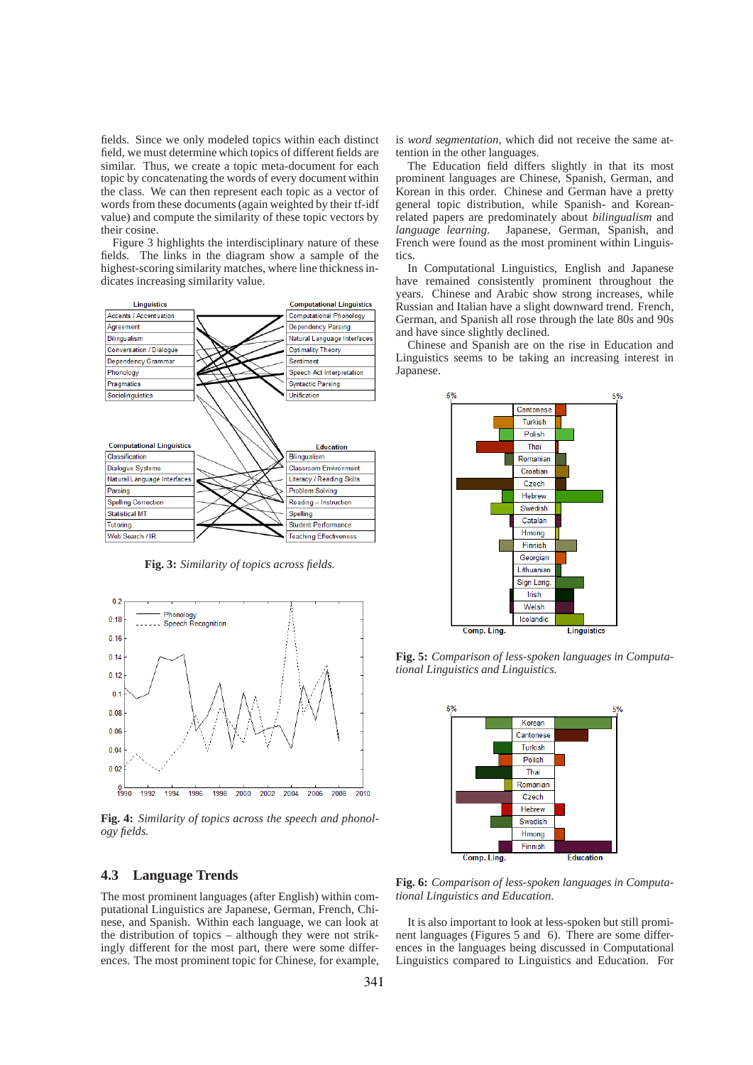fields. Since we only modeled topics within each distinct field, we must determine which topics of different fields are similar. Thus, we create a topic meta-document for each topic by concatenating the words of every document within the class. We can then represent each topic as a vector of words from these documents (again weighted by their tf-idf value) and compute the similarity of these topic vectors by their cosine.

Figure 3 highlights the interdisciplinary nature of these fields. The links in the diagram show a sample of the highest-scoring similarity matches, where line thickness indicates increasing similarity value.



**Fig. 3:** *Similarity of topics across fields.*



**Fig. 4:** *Similarity of topics across the speech and phonology fields.*

## **4.3 Language Trends**

The most prominent languages (after English) within computational Linguistics are Japanese, German, French, Chinese, and Spanish. Within each language, we can look at the distribution of topics – although they were not strikingly different for the most part, there were some differences. The most prominent topic for Chinese, for example, is *word segmentation*, which did not receive the same attention in the other languages.

The Education field differs slightly in that its most prominent languages are Chinese, Spanish, German, and Korean in this order. Chinese and German have a pretty general topic distribution, while Spanish- and Koreanrelated papers are predominately about *bilingualism* and *language learning*. Japanese, German, Spanish, and French were found as the most prominent within Linguistics.

In Computational Linguistics, English and Japanese have remained consistently prominent throughout the years. Chinese and Arabic show strong increases, while Russian and Italian have a slight downward trend. French, German, and Spanish all rose through the late 80s and 90s and have since slightly declined.

Chinese and Spanish are on the rise in Education and Linguistics seems to be taking an increasing interest in Japanese.



**Fig. 5:** *Comparison of less-spoken languages in Computational Linguistics and Linguistics.*



**Fig. 6:** *Comparison of less-spoken languages in Computational Linguistics and Education.*

It is also important to look at less-spoken but still prominent languages (Figures 5 and 6). There are some differences in the languages being discussed in Computational Linguistics compared to Linguistics and Education. For